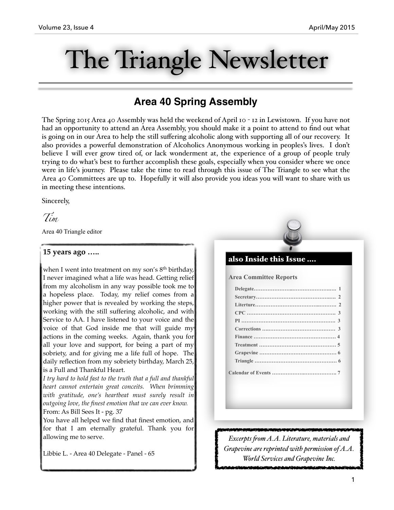# The Triangle Newsletter

# **Area 40 Spring Assembly**

The Spring 2015 Area 40 Assembly was held the weekend of April 10 - 12 in Lewistown. If you have not had an opportunity to attend an Area Assembly, you should make it a point to attend to find out what is going on in our Area to help the still suffering alcoholic along with supporting all of our recovery. It also provides a powerful demonstration of Alcoholics Anonymous working in peoples's lives. I don't believe I will ever grow tired of, or lack wonderment at, the experience of a group of people truly trying to do what's best to further accomplish these goals, especially when you consider where we once were in life's journey. Please take the time to read through this issue of The Triangle to see what the Area 40 Committees are up to. Hopefully it will also provide you ideas you will want to share with us in meeting these intentions.

Sincerely,

*Tim*

Area 40 Triangle editor

# **15 years ago …..**

when I went into treatment on my son's 8<sup>th</sup> birthday, I never imagined what a life was head. Getting relief from my alcoholism in any way possible took me to a hopeless place. Today, my relief comes from a higher power that is revealed by working the steps, working with the still suffering alcoholic, and with Service to AA. I have listened to your voice and the voice of that God inside me that will guide my actions in the coming weeks. Again, thank you for all your love and support, for being a part of my sobriety, and for giving me a life full of hope. The daily reflection from my sobriety birthday, March 25, is a Full and Thankful Heart.

*I try hard to hold fast to the truth that a full and thankful heart cannot entertain great conceits. When brimming with gratitude, one's heartbeat must surely result in outgoing love, the finest emotion that we can ever know.*  From: As Bill Sees It - pg. 37

You have all helped we find that finest emotion, and for that I am eternally grateful. Thank you for allowing me to serve.

Libbie L. - Area 40 Delegate - Panel - 65

# also Inside this Issue ….

**Area Committee Reports** 

*Excerpts fom A.A. Literature, materials and Grapevine are reprinted with permission of A.A. World Services and Grapevine Inc.*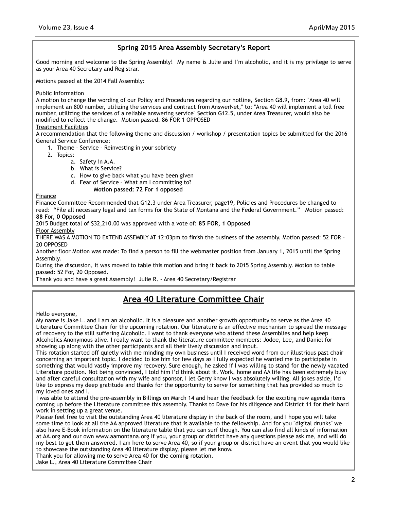# **Spring 2015 Area Assembly Secretary's Report**

Good morning and welcome to the Spring Assembly! My name is Julie and I'm alcoholic, and it is my privilege to serve as your Area 40 Secretary and Registrar.

Motions passed at the 2014 Fall Assembly:

## Public Information

A motion to change the wording of our Policy and Procedures regarding our hotline, Section G8.9, from: "Area 40 will implement an 800 number, utilizing the services and contract from AnswerNet," to: "Area 40 will implement a toll free number, utilizing the services of a reliable answering service" Section G12.5, under Area Treasurer, would also be modified to reflect the change. Motion passed: 86 FOR 1 OPPOSED

## Treatment Facilities

A recommendation that the following theme and discussion / workshop / presentation topics be submitted for the 2016 General Service Conference:

1. Theme – Service – Reinvesting in your sobriety

- 2. Topics:
	- a. Safety in A.A.
	- b. What is Service?
	- c. How to give back what you have been given
	- d. Fear of Service What am I committing to?

## **Motion passed: 72 For 1 opposed**

Finance

Finance Committee Recommended that G12.3 under Area Treasurer, page19, Policies and Procedures be changed to read: "File all necessary legal and tax forms for the State of Montana and the Federal Government." Motion passed: **88 For, 0 Opposed** 

2015 Budget total of \$32,210.00 was approved with a vote of: **85 FOR, 1 Opposed** 

Floor Assembly

THERE WAS A MOTION TO EXTEND ASSEMBLY AT 12:03pm to finish the business of the assembly. Motion passed: 52 FOR – 20 OPPOSED

Another floor Motion was made: To find a person to fill the webmaster position from January 1, 2015 until the Spring Assembly.

During the discussion, it was moved to table this motion and bring it back to 2015 Spring Assembly. Motion to table passed: 52 For, 20 Opposed.

Thank you and have a great Assembly! Julie R. - Area 40 Secretary/Registrar

# **Area 40 Literature Committee Chair**

Hello everyone,

My name is Jake L. and I am an alcoholic. It is a pleasure and another growth opportunity to serve as the Area 40 Literature Committee Chair for the upcoming rotation. Our literature is an effective mechanism to spread the message of recovery to the still suffering Alcoholic. I want to thank everyone who attend these Assemblies and help keep Alcoholics Anonymous alive. I really want to thank the literature committee members: Jodee, Lee, and Daniel for showing up along with the other participants and all their lively discussion and input.

This rotation started off quietly with me minding my own business until I received word from our illustrious past chair concerning an important topic. I decided to ice him for few days as I fully expected he wanted me to participate in something that would vastly improve my recovery. Sure enough, he asked if I was willing to stand for the newly vacated Literature position. Not being convinced, I told him I'd think about it. Work, home and AA life has been extremely busy and after careful consultation with my wife and sponsor, I let Gerry know I was absolutely willing. All jokes aside, I'd like to express my deep gratitude and thanks for the opportunity to serve for something that has provided so much to my loved ones and I.

I was able to attend the pre-assembly in Billings on March 14 and hear the feedback for the exciting new agenda items coming up before the Literature committee this assembly. Thanks to Dave for his diligence and District 11 for their hard work in setting up a great venue.

Please feel free to visit the outstanding Area 40 literature display in the back of the room, and I hope you will take some time to look at all the AA approved literature that is available to the fellowship. And for you "digital drunks" we also have E-Book information on the literature table that you can surf though. You can also find all kinds of information at AA.org and our own www.aamontana.org If you, your group or district have any questions please ask me, and will do my best to get them answered. I am here to serve Area 40, so if your group or district have an event that you would like to showcase the outstanding Area 40 literature display, please let me know.

Thank you for allowing me to serve Area 40 for the coming rotation.

Jake L., Area 40 Literature Committee Chair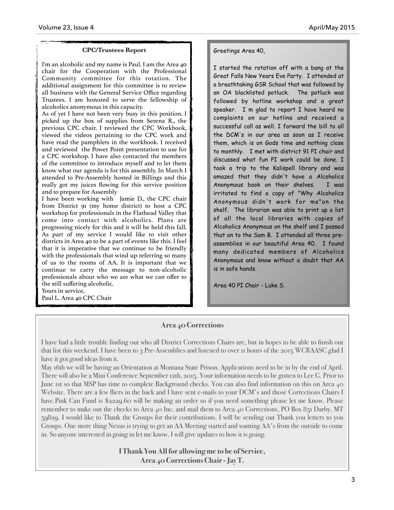## **CPC/Trustees Report**

I'm an alcoholic and my name is Paul. I am the Area 40 chair for the Cooperation with the Professional Community committee for this rotation. The additional assignment for this committee is to review all business with the General Service Office regarding Trustees. I am honored to serve the fellowship of alcoholics anonymous in this capacity.

As of yet I have not been very busy in this position. I picked up the box of supplies from Serena R., the previous CPC chair. I reviewed the CPC Workbook, viewed the videos pertaining to the CPC work and have read the pamphlets in the workbook. I received and reviewed the Power Point presentation to use for a CPC workshop. I have also contacted the members of the committee to introduce myself and to let them know what our agenda is for this assembly. In March I attended to Pre-Assembly hosted in Billings and this really got my juices flowing for this service position and to prepare for Assembly

I have been working with Jamie D., the CPC chair from District 91 (my home district) to host a CPC workshop for professionals in the Flathead Valley that come into contact with alcoholics. Plans are progressing nicely for this and it will be held this fall. As part of my service I would like to visit other districts in Area 40 to be a part of events like this. I feel that it is imperative that we continue to be friendly with the professionals that wind up referring so many of us to the rooms of AA. It is important that we continue to carry the message to non-alcoholic professionals about who we are what we can offer to the still suffering alcoholic.

Yours in service, Paul L. Area 40 CPC Chair

## Greetings Area 40,

I started the rotation off with a bang at the Great Falls New Years Eve Party. I attended at a breathtaking GSR School that was followed by an OA blacklisted potluck. The potluck was followed by hotline workshop and a great speaker. I m glad to report I have heard no complaints on our hotline and received a successful call as well. I forward the bill to all the DCM's in our area as soon as I receive them, which is on Gods time and nothing close to monthly. I met with district 91 PI chair and discussed what fun PI work could be done. I took a trip to the Kalispell library and was amazed that they didn't have a Alcoholics Anonymous book on their shelves. I was irritated to find a copy of "Why Alcoholics Anonymous didn't work for me"on the shelf. The librarian was able to print up a list of all the local libraries with copies of Alcoholics Anonymous on the shelf and I passed that on to the Sam B. I attended all three preassemblies in our beautiful Area 40. I found many dedicated members of Alcoholics Anonymous and know without a doubt that AA is in safe hands.

Area 40 PI Chair - Luke S.

# **Area 40 Corrections**

I have had a little trouble finding out who all District Corrections Chairs are, but in hopes to be able to finish out that list this weekend. I have been to 3 Pre-Assemblies and listened to over 11 hours of the 2015 WCRAASC glad I have it got good ideas from it.

May 16th we will be having an Orientation at Montana State Prison. Applications need to be in by the end of April. There will also be a Mini Conference September 12th, 2015. Your information needs to be gotten to Lee G. Prior to June 1st so that MSP has time to complete Background checks. You can also find information on this on Area 40 Website. There are a few fliers in the back and I have sent e-mails to your DCM's and those Corrections Chairs I have.Pink Can Fund is \$2229.60 will be making an order so if you need something please let me know. Please remember to make out the checks to Area 40 Inc. and mail them to Area 40 Corrections, PO Box 851 Darby, MT 59829. I would like to Thank the Groups for their contributions. I will be sending out Thank you letters to you Groups. One more thing Nexus is trying to get an AA Meeting started and wanting AA's from the outside to come in. So anyone interested in going in let me know. I will give updates to how it is going.

> **I Thank You All for allowing me to be of Service, Area 40 Corrections Chair - Jay T.**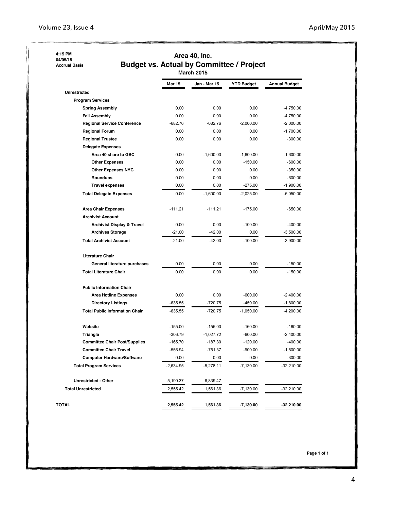### **4:15 PM 04/05/15**

 **Accrual Basis**

# **Area 40, Inc. Budget vs. Actual by Committee / Project March 2015**

|                                       | <b>Mar 15</b> | Jan - Mar 15 | <b>YTD Budget</b> | <b>Annual Budget</b> |  |
|---------------------------------------|---------------|--------------|-------------------|----------------------|--|
| <b>Unrestricted</b>                   |               |              |                   |                      |  |
| <b>Program Services</b>               |               |              |                   |                      |  |
| <b>Spring Assembly</b>                | 0.00          | 0.00         | 0.00              | $-4,750.00$          |  |
| <b>Fall Assembly</b>                  | 0.00          | 0.00         | 0.00              | $-4,750.00$          |  |
| <b>Regional Service Conference</b>    | $-682.76$     | $-682.76$    | $-2,000.00$       | $-2,000.00$          |  |
| <b>Regional Forum</b>                 | 0.00          | 0.00         | 0.00              | $-1,700.00$          |  |
| <b>Regional Trustee</b>               | 0.00          | 0.00         | 0.00              | $-300.00$            |  |
| <b>Delegate Expenses</b>              |               |              |                   |                      |  |
| Area 40 share to GSC                  | 0.00          | $-1,600.00$  | $-1,600.00$       | $-1,600.00$          |  |
| <b>Other Expenses</b>                 | 0.00          | 0.00         | $-150.00$         | $-600.00$            |  |
| <b>Other Expenses NYC</b>             | 0.00          | 0.00         | 0.00              | $-350.00$            |  |
| Roundups                              | 0.00          | 0.00         | 0.00              | $-600.00$            |  |
| <b>Travel expenses</b>                | 0.00          | 0.00         | $-275.00$         | $-1,900.00$          |  |
| <b>Total Delegate Expenses</b>        | 0.00          | $-1,600.00$  | $-2,025.00$       | $-5,050.00$          |  |
| <b>Area Chair Expenses</b>            | $-111.21$     | $-111.21$    | $-175.00$         | $-650.00$            |  |
| <b>Archivist Account</b>              |               |              |                   |                      |  |
| <b>Archivist Display &amp; Travel</b> | 0.00          | 0.00         | $-100.00$         | $-400.00$            |  |
| <b>Archives Storage</b>               | $-21.00$      | $-42.00$     | 0.00              | $-3,500.00$          |  |
| <b>Total Archivist Account</b>        | $-21.00$      | $-42.00$     | $-100.00$         | $-3,900.00$          |  |
| <b>Literature Chair</b>               |               |              |                   |                      |  |
| General literature purchases          | 0.00          | 0.00         | 0.00              | $-150.00$            |  |
| <b>Total Literature Chair</b>         | 0.00          | 0.00         | 0.00              | $-150.00$            |  |
| <b>Public Information Chair</b>       |               |              |                   |                      |  |
| <b>Area Hotline Expenses</b>          | 0.00          | 0.00         | $-600.00$         | $-2,400.00$          |  |
| <b>Directory Listings</b>             | $-635.55$     | $-720.75$    | $-450.00$         | $-1,800.00$          |  |
| <b>Total Public Information Chair</b> | $-635.55$     | $-720.75$    | $-1,050.00$       | $-4,200.00$          |  |
| Website                               | $-155.00$     | $-155.00$    | $-160.00$         | $-160.00$            |  |
| Triangle                              | $-306.79$     | $-1,027.72$  | $-600.00$         | $-2,400.00$          |  |
| <b>Committee Chair Post/Supplies</b>  | $-165.70$     | $-187.30$    | $-120.00$         | $-400.00$            |  |
| <b>Committee Chair Travel</b>         | $-556.94$     | $-751.37$    | $-900.00$         | $-1,500.00$          |  |
| <b>Computer Hardware/Software</b>     | 0.00          | 0.00         | 0.00              | $-300.00$            |  |
| <b>Total Program Services</b>         | $-2,634.95$   | $-5,278.11$  | $-7,130.00$       | $-32,210.00$         |  |
| <b>Unrestricted - Other</b>           | 5,190.37      | 6,839.47     |                   |                      |  |
| <b>Total Unrestricted</b>             | 2,555.42      | 1,561.36     | $-7,130.00$       | $-32,210.00$         |  |
| TOTAL                                 | 2,555.42      | 1,561.36     | $-7,130.00$       | $-32,210.00$         |  |

 **Page 1 of 1**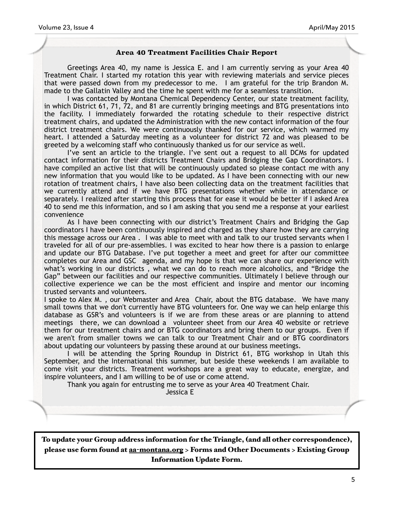## **Area 40 Treatment Facilities Chair Report**

Greetings Area 40, my name is Jessica E. and I am currently serving as your Area 40 Treatment Chair. I started my rotation this year with reviewing materials and service pieces that were passed down from my predecessor to me. I am grateful for the trip Brandon M. made to the Gallatin Valley and the time he spent with me for a seamless transition.

I was contacted by Montana Chemical Dependency Center, our state treatment facility, in which District 61, 71, 72, and 81 are currently bringing meetings and BTG presentations into the facility. I immediately forwarded the rotating schedule to their respective district treatment chairs, and updated the Administration with the new contact information of the four district treatment chairs. We were continuously thanked for our service, which warmed my heart. I attended a Saturday meeting as a volunteer for district 72 and was pleased to be greeted by a welcoming staff who continuously thanked us for our service as well.

I've sent an article to the triangle. I've sent out a request to all DCMs for updated contact information for their districts Treatment Chairs and Bridging the Gap Coordinators. I have compiled an active list that will be continuously updated so please contact me with any new information that you would like to be updated. As I have been connecting with our new rotation of treatment chairs, I have also been collecting data on the treatment facilities that we currently attend and if we have BTG presentations whether while in attendance or separately. I realized after starting this process that for ease it would be better if I asked Area 40 to send me this information, and so I am asking that you send me a response at your earliest convenience

As I have been connecting with our district's Treatment Chairs and Bridging the Gap coordinators I have been continuously inspired and charged as they share how they are carrying this message across our Area . I was able to meet with and talk to our trusted servants when I traveled for all of our pre-assemblies. I was excited to hear how there is a passion to enlarge and update our BTG Database. I've put together a meet and greet for after our committee completes our Area and GSC agenda, and my hope is that we can share our experience with what's working in our districts , what we can do to reach more alcoholics, and "Bridge the Gap" between our facilities and our respective communities. Ultimately I believe through our collective experience we can be the most efficient and inspire and mentor our incoming trusted servants and volunteers.

I spoke to Alex M. , our Webmaster and Area Chair, about the BTG database. We have many small towns that we don't currently have BTG volunteers for. One way we can help enlarge this database as GSR's and volunteers is if we are from these areas or are planning to attend meetings there, we can download a volunteer sheet from our Area 40 website or retrieve them for our treatment chairs and or BTG coordinators and bring them to our groups. Even if we aren't from smaller towns we can talk to our Treatment Chair and or BTG coordinators about updating our volunteers by passing these around at our business meetings.

I will be attending the Spring Roundup in District 61, BTG workshop in Utah this September, and the International this summer, but beside these weekends I am available to come visit your districts. Treatment workshops are a great way to educate, energize, and inspire volunteers, and I am willing to be of use or come attend.

Thank you again for entrusting me to serve as your Area 40 Treatment Chair.

Jessica E

To update your Group address information for the Triangle, (and all other correspondence), please use form found at aa-[montana.org](http://aa-montana.org) > Forms and Other Documents > Existing Group Information Update Form.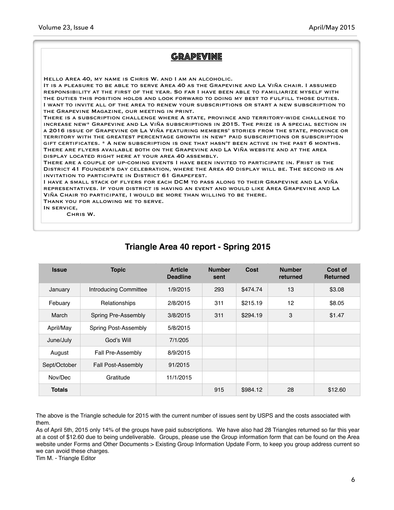## **GRAPEVINE** Hello Area 40, my name is Chris W. and I am an alcoholic. It is a pleasure to be able to serve Area 40 as the Grapevine and La Viña chair. I assumed responsibility at the first of the year. So far I have been able to familiarize myself with the duties this position holds and look forward to doing my best to fulfill those duties. I want to invite all of the area to renew your subscriptions or start a new subscription to the Grapevine Magazine, our meeting in print. There is a subscription challenge where A state, province and territory-wide challenge to increase new\* Grapevine and La Viña subscriptions in 2015. The prize is A special section in a 2016 issue of Grapevine or La Viña featuring members' stories from the state, province or territory with the greatest percentage growth in new\* paid subscriptions or subscription gift certificates. \* A new subscription is one that hasn't been active in the past 6 months. There are flyers available both on the Grapevine and La Viña website and at the area display located right here at your area 40 assembly. There are a couple of up-coming events I have been invited to participate in. Frist is the District 41 Founder's day celebration, where the Area 40 display will be. The second is an invitation to participate in District 61 Grapefest. I have a small stack of flyers for each DCM to pass along to their Grapevine and La Viña representatives. If your district is having an event and would like Area Grapevine and La Viña Chair to participate, I would be more than willing to be there. Thank you for allowing me to serve. In service, Chris W.

| <b>Issue</b>  | <b>Topic</b>               | <b>Article</b><br><b>Deadline</b> | <b>Number</b><br>sent | Cost     | <b>Number</b><br>returned | Cost of<br><b>Returned</b> |
|---------------|----------------------------|-----------------------------------|-----------------------|----------|---------------------------|----------------------------|
| January       | Introducing Committee      | 1/9/2015                          | 293                   | \$474.74 | 13                        | \$3.08                     |
| Febuary       | Relationships              | 2/8/2015                          | 311                   | \$215.19 | 12                        | \$8.05                     |
| March         | <b>Spring Pre-Assembly</b> | 3/8/2015                          | 311                   | \$294.19 | 3                         | \$1.47                     |
| April/May     | Spring Post-Assembly       | 5/8/2015                          |                       |          |                           |                            |
| June/July     | God's Will                 | 7/1/205                           |                       |          |                           |                            |
| August        | Fall Pre-Assembly          | 8/9/2015                          |                       |          |                           |                            |
| Sept/October  | <b>Fall Post-Assembly</b>  | 91/2015                           |                       |          |                           |                            |
| Nov/Dec       | Gratitude                  | 11/1/2015                         |                       |          |                           |                            |
| <b>Totals</b> |                            |                                   | 915                   | \$984.12 | 28                        | \$12.60                    |

# **Triangle Area 40 report - Spring 2015**

The above is the Triangle schedule for 2015 with the current number of issues sent by USPS and the costs associated with them.

As of April 5th, 2015 only 14% of the groups have paid subscriptions. We have also had 28 Triangles returned so far this year at a cost of \$12.60 due to being undeliverable. Groups, please use the Group information form that can be found on the Area website under Forms and Other Documents > Existing Group Information Update Form, to keep you group address current so we can avoid these charges.

Tim M. - Triangle Editor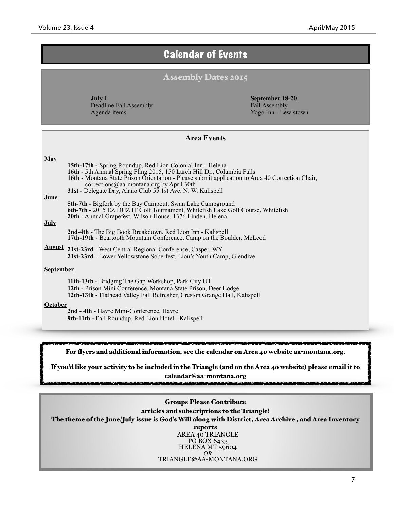# Calendar of Events

# Assembly Dates 2015

**July 1**  Deadline Fall Assembly Agenda items

**September 18-20**  Fall Assembly Yogo Inn - Lewistown

| <b>Area Events</b> |                                                                                                                                                                                                                                                                                                                                                             |  |  |  |
|--------------------|-------------------------------------------------------------------------------------------------------------------------------------------------------------------------------------------------------------------------------------------------------------------------------------------------------------------------------------------------------------|--|--|--|
| <b>May</b><br>June | <b>15th-17th - Spring Roundup, Red Lion Colonial Inn - Helena</b><br>16th - 5th Annual Spring Fling 2015, 150 Larch Hill Dr., Columbia Falls<br>16th - Montana State Prison Orientation - Please submit application to Area 40 Correction Chair,<br>corrections@aa-montana.org by April 30th<br>31st - Delegate Day, Alano Club 55 1st Ave. N. W. Kalispell |  |  |  |
| <b>July</b>        | <b>5th-7th - Bigfork by the Bay Campout, Swan Lake Campground</b><br>6th-7th - 2015 EZ DUZ IT Golf Tournament, Whitefish Lake Golf Course, Whitefish<br>20th - Annual Grapefest, Wilson House, 1376 Linden, Helena<br>2nd-4th - The Big Book Breakdown, Red Lion Inn - Kalispell                                                                            |  |  |  |
|                    | 17th-19th - Beartooth Mountain Conference, Camp on the Boulder, McLeod<br>August 21st-23rd - West Central Regional Conference, Casper, WY<br>21st-23rd - Lower Yellowstone Soberfest, Lion's Youth Camp, Glendive                                                                                                                                           |  |  |  |
| <b>September</b>   |                                                                                                                                                                                                                                                                                                                                                             |  |  |  |
| <b>October</b>     | 11th-13th - Bridging The Gap Workshop, Park City UT<br>12th - Prison Mini Conference, Montana State Prison, Deer Lodge<br>12th-13th - Flathead Valley Fall Refresher, Creston Grange Hall, Kalispell<br>2nd - 4th - Havre Mini-Conference, Havre<br>9th-11th - Fall Roundup, Red Lion Hotel - Kalispell                                                     |  |  |  |

For flyers and additional information, see the calendar on Area 40 website aa-montana.org.

If you'd like your activity to be included in the Triangle (and on the Area 40 website) please email it to calendar@aa-[montana.org](mailto:calendar@aa-montana.org)

عقبتكم

# Groups Please Contribute

articles and subscriptions to the Triangle! The theme of the June/July issue is God's Will along with District, Area Archive , and Area Inventory reports AREA 40 TRIANGLE PO BOX 6433 HELENA MT 59604 *OR*  [TRIANGLE@AA-MONTANA.ORG](mailto:triangle@aa-montana.org)